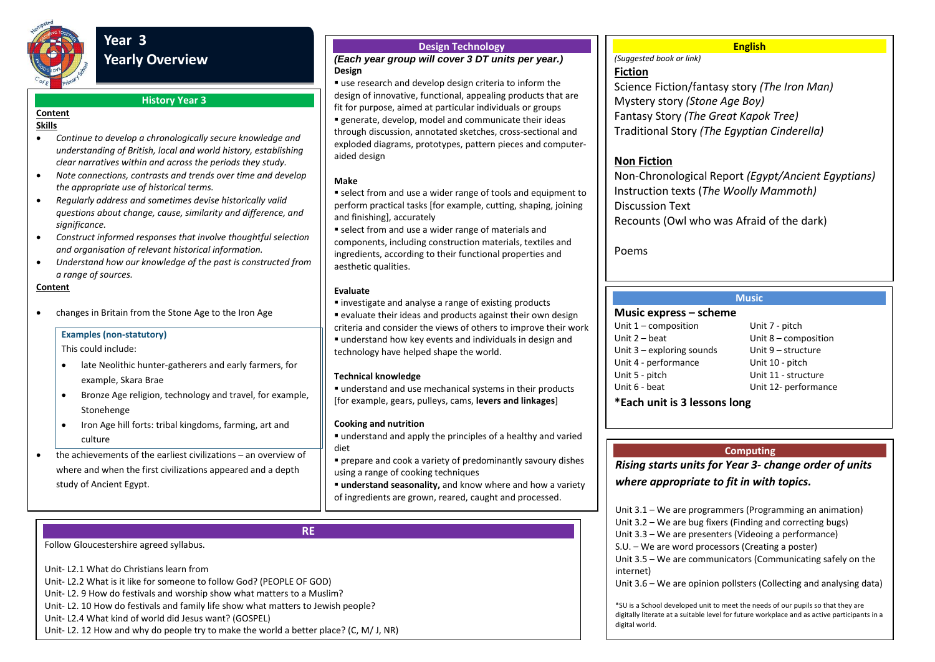

# **Year 3 Yearly Overview**

# **History Year 3**

#### **Content Skills**

- *Continue to develop a chronologically secure knowledge and understanding of British, local and world history, establishing clear narratives within and across the periods they study.*
- *Note connections, contrasts and trends over time and develop the appropriate use of historical terms.*
- *Regularly address and sometimes devise historically valid questions about change, cause, similarity and difference, and significance.*
- *Construct informed responses that involve thoughtful selection and organisation of relevant historical information.*
- *Understand how our knowledge of the past is constructed from a range of sources.*

#### **Content**

changes in Britain from the Stone Age to the Iron Age

#### **Examples (non-statutory)**

This could include:

- late Neolithic hunter-gatherers and early farmers, for example, Skara Brae
- Bronze Age religion, technology and travel, for example, Stonehenge
- Iron Age hill forts: tribal kingdoms, farming, art and culture
- the achievements of the earliest civilizations an overview of where and when the first civilizations appeared and a depth study of Ancient Egypt.

## **Design Technology**

#### *(Each year group will cover 3 DT units per year.)* **Design**

 use research and develop design criteria to inform the design of innovative, functional, appealing products that are fit for purpose, aimed at particular individuals or groups generate, develop, model and communicate their ideas

through discussion, annotated sketches, cross-sectional and exploded diagrams, prototypes, pattern pieces and computeraided design

## **Make**

 select from and use a wider range of tools and equipment to perform practical tasks [for example, cutting, shaping, joining and finishing], accurately

**select from and use a wider range of materials and** components, including construction materials, textiles and ingredients, according to their functional properties and aesthetic qualities.

## **Evaluate**

- $\blacksquare$  investigate and analyse a range of existing products
- evaluate their ideas and products against their own design
- criteria and consider the views of others to improve their work

 understand how key events and individuals in design and technology have helped shape the world.

# **Technical knowledge**

 understand and use mechanical systems in their products [for example, gears, pulleys, cams, **levers and linkages**]

## **Cooking and nutrition**

 understand and apply the principles of a healthy and varied diet

 prepare and cook a variety of predominantly savoury dishes using a range of cooking techniques

 **understand seasonality,** and know where and how a variety of ingredients are grown, reared, caught and processed.

## **RE**

Follow Gloucestershire agreed syllabus.

Unit- L2.1 What do Christians learn from

- Unit- L2.2 What is it like for someone to follow God? (PEOPLE OF GOD)
- Unit- L2. 9 How do festivals and worship show what matters to a Muslim?
- Unit- L2. 10 How do festivals and family life show what matters to Jewish people?

Unit- L2.4 What kind of world did Jesus want? (GOSPEL)

Unit- L2. 12 How and why do people try to make the world a better place? (C, M/ J, NR)

## **English**

*(Suggested book or link)*

## **Fiction**

Science Fiction/fantasy story *(The Iron Man)* Mystery story *(Stone Age Boy)* Fantasy Story *(The Great Kapok Tree)* Traditional Story *(The Egyptian Cinderella)*

# **Non Fiction**

Non-Chronological Report *(Egypt/Ancient Egyptians)* Instruction texts (*The Woolly Mammoth)* Discussion Text Recounts (Owl who was Afraid of the dark)

# Poems

#### **Music**

# **Music express – scheme**

| Unit $1$ – composition    | Ur |
|---------------------------|----|
| Unit 2 – beat             | Ur |
| Unit 3 – exploring sounds | Ur |
| Unit 4 - performance      | Ur |
| Unit 5 - pitch            | Ur |
| Unit 6 - beat             | Ur |
|                           |    |

nit 7 - pitch  $n$ it 8 – composition nit 9 – structure nit 10 - pitch nit 11 - structure nit 12- performance

# **\*Each unit is 3 lessons long**

## **Computing**

*Rising starts units for Year 3- change order of units where appropriate to fit in with topics.*

Unit 3.1 – We are programmers (Programming an animation)

- Unit 3.2 We are bug fixers (Finding and correcting bugs)
- Unit 3.3 We are presenters (Videoing a performance)
- S.U. We are word processors (Creating a poster)

Unit 3.5 – We are communicators (Communicating safely on the internet)

Unit 3.6 – We are opinion pollsters (Collecting and analysing data)

\*SU is a School developed unit to meet the needs of our pupils so that they are digitally literate at a suitable level for future workplace and as active participants in a digital world.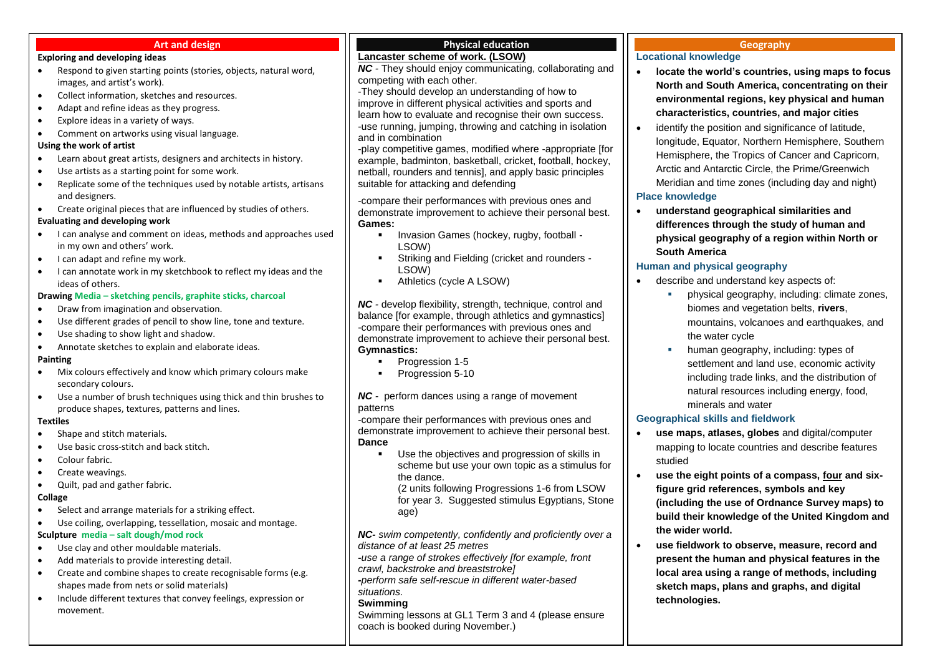# **Art and design**

## **Exploring and developing ideas**

- Respond to given starting points (stories, objects, natural word, images, and artist's work).
- Collect information, sketches and resources.
- Adapt and refine ideas as they progress.
- Explore ideas in a variety of ways.
- Comment on artworks using visual language.

#### **Using the work of artist**

- Learn about great artists, designers and architects in history.
- Use artists as a starting point for some work.
- Replicate some of the techniques used by notable artists, artisans and designers.
- Create original pieces that are influenced by studies of others.

## **Evaluating and developing work**

- I can analyse and comment on ideas, methods and approaches used in my own and others' work.
- I can adapt and refine my work.
- I can annotate work in my sketchbook to reflect my ideas and the ideas of others.

## **Drawing Media – sketching pencils, graphite sticks, charcoal**

- Draw from imagination and observation.
- Use different grades of pencil to show line, tone and texture.
- Use shading to show light and shadow.
- Annotate sketches to explain and elaborate ideas.

## **Painting**

- Mix colours effectively and know which primary colours make secondary colours.
- Use a number of brush techniques using thick and thin brushes to produce shapes, textures, patterns and lines.

## **Textiles**

- Shape and stitch materials.
- Use basic cross-stitch and back stitch.
- Colour fabric.
- Create weavings.
- Quilt, pad and gather fabric.

## **Collage**

- Select and arrange materials for a striking effect.
- Use coiling, overlapping, tessellation, mosaic and montage.

# **Sculpture media – salt dough/mod rock**

- Use clay and other mouldable materials.
- Add materials to provide interesting detail.
- Create and combine shapes to create recognisable forms (e.g. shapes made from nets or solid materials)
- Include different textures that convey feelings, expression or movement.

# **Physical education**

# **Lancaster scheme of work. (LSOW)**

- *NC -* They should enjoy communicating, collaborating and competing with each other.
- -They should develop an understanding of how to improve in different physical activities and sports and learn how to evaluate and recognise their own success. -use running, jumping, throwing and catching in isolation
- and in combination

-play competitive games, modified where -appropriate [for example, badminton, basketball, cricket, football, hockey, netball, rounders and tennis], and apply basic principles suitable for attacking and defending

-compare their performances with previous ones and demonstrate improvement to achieve their personal best. **Games:**

- **Invasion Games (hockey, rugby, football -**LSOW)
- Striking and Fielding (cricket and rounders LSOW)
- Athletics (cycle A LSOW)

*NC -* develop flexibility, strength, technique, control and balance [for example, through athletics and gymnastics] -compare their performances with previous ones and demonstrate improvement to achieve their personal best. **Gymnastics:**

- Progression 1-5
- Progression 5-10

**NC** - perform dances using a range of movement patterns

-compare their performances with previous ones and demonstrate improvement to achieve their personal best. **Dance**

 Use the objectives and progression of skills in scheme but use your own topic as a stimulus for the dance.

(2 units following Progressions 1-6 from LSOW for year 3. Suggested stimulus Egyptians, Stone age)

*NC- swim competently, confidently and proficiently over a distance of at least 25 metres* 

*-use a range of strokes effectively [for example, front crawl, backstroke and breaststroke]* 

*-perform safe self-rescue in different water-based situations.* 

# **Swimming**

Swimming lessons at GL1 Term 3 and 4 (please ensure coach is booked during November.)

# **Geography**

## **Locational knowledge**

- **locate the world's countries, using maps to focus North and South America, concentrating on their environmental regions, key physical and human characteristics, countries, and major cities**
- identify the position and significance of latitude. longitude, Equator, Northern Hemisphere, Southern Hemisphere, the Tropics of Cancer and Capricorn, Arctic and Antarctic Circle, the Prime/Greenwich Meridian and time zones (including day and night) **Place knowledge**
- **understand geographical similarities and differences through the study of human and physical geography of a region within North or South America**

# **Human and physical geography**

- describe and understand key aspects of:
	- physical geography, including: climate zones, biomes and vegetation belts, **rivers**, mountains, volcanoes and earthquakes, and the water cycle
	- human geography, including: types of settlement and land use, economic activity including trade links, and the distribution of natural resources including energy, food, minerals and water

# **Geographical skills and fieldwork**

- **use maps, atlases, globes** and digital/computer mapping to locate countries and describe features studied
- **use the eight points of a compass, four and sixfigure grid references, symbols and key (including the use of Ordnance Survey maps) to build their knowledge of the United Kingdom and the wider world.**
- **use fieldwork to observe, measure, record and present the human and physical features in the local area using a range of methods, including sketch maps, plans and graphs, and digital technologies.**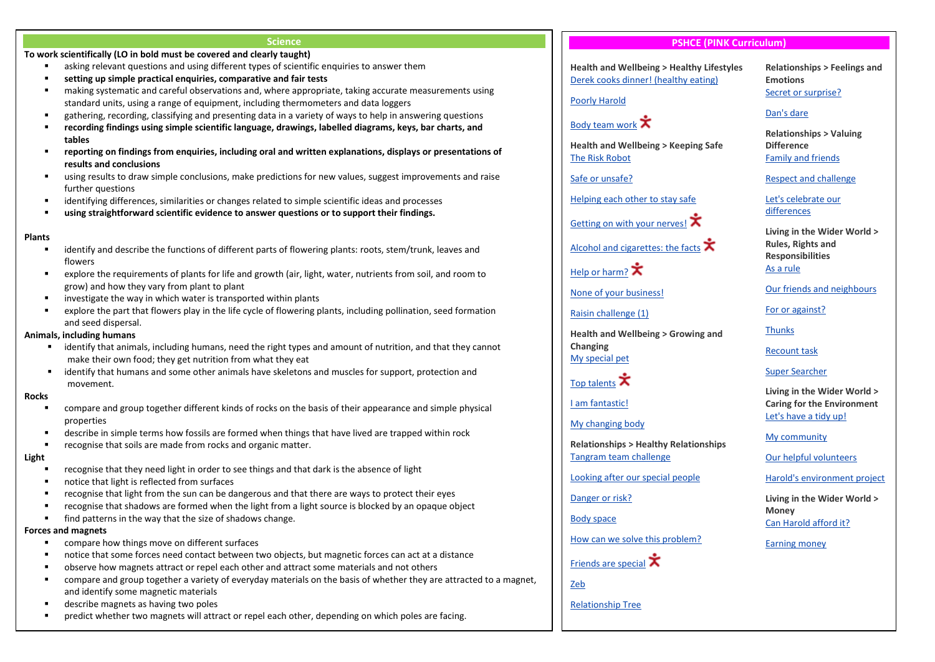#### **Science**

#### **To work scientifically (LO in bold must be covered and clearly taught)**

- asking relevant questions and using different types of scientific enquiries to answer them
- **setting up simple practical enquiries, comparative and fair tests**
- making systematic and careful observations and, where appropriate, taking accurate measurements using standard units, using a range of equipment, including thermometers and data loggers
- gathering, recording, classifying and presenting data in a variety of ways to help in answering questions
- **recording findings using simple scientific language, drawings, labelled diagrams, keys, bar charts, and tables**
- **reporting on findings from enquiries, including oral and written explanations, displays or presentations of results and conclusions**
- using results to draw simple conclusions, make predictions for new values, suggest improvements and raise further questions
- identifying differences, similarities or changes related to simple scientific ideas and processes
- **using straightforward scientific evidence to answer questions or to support their findings.**

#### **Plants**

- identify and describe the functions of different parts of flowering plants: roots, stem/trunk, leaves and flowers
- explore the requirements of plants for life and growth (air, light, water, nutrients from soil, and room to grow) and how they vary from plant to plant
- investigate the way in which water is transported within plants
- explore the part that flowers play in the life cycle of flowering plants, including pollination, seed formation and seed dispersal.

#### **Animals, including humans**

- identify that animals, including humans, need the right types and amount of nutrition, and that they cannot make their own food; they get nutrition from what they eat
- identify that humans and some other animals have skeletons and muscles for support, protection and movement.

#### **Rocks**

- compare and group together different kinds of rocks on the basis of their appearance and simple physical properties
- describe in simple terms how fossils are formed when things that have lived are trapped within rock
- recognise that soils are made from rocks and organic matter.

#### **Light**

- recognise that they need light in order to see things and that dark is the absence of light
- notice that light is reflected from surfaces
- recognise that light from the sun can be dangerous and that there are ways to protect their eyes
- recognise that shadows are formed when the light from a light source is blocked by an opaque object
- **find patterns in the way that the size of shadows change.**

#### **Forces and magnets**

- compare how things move on different surfaces
- notice that some forces need contact between two objects, but magnetic forces can act at a distance
- observe how magnets attract or repel each other and attract some materials and not others
- compare and group together a variety of everyday materials on the basis of whether they are attracted to a magnet, and identify some magnetic materials
- **describe magnets as having two poles**
- **•** predict whether two magnets will attract or repel each other, depending on which poles are facing.

#### **PSHCE (PINK Curriculum)**

**Health and Wellbeing > Healthy Lifestyles** [Derek cooks dinner! \(healthy eating\)](https://www.coramlifeeducation.org.uk/scarf/lesson-plans/derek-cooks-dinner-healthy-eating)

[Poorly Harold](https://www.coramlifeeducation.org.uk/scarf/lesson-plans/poorly-harold)

[Body team work](https://www.coramlifeeducation.org.uk/scarf/lesson-plans/body-team-work)  $\bigstar$ 

**Health and Wellbeing > Keeping Safe** [The Risk Robot](https://www.coramlifeeducation.org.uk/scarf/lesson-plans/the-risk-robot)

[Safe or unsafe?](https://www.coramlifeeducation.org.uk/scarf/lesson-plans/safe-or-unsafe-1)

[Helping each other to stay safe](https://www.coramlifeeducation.org.uk/scarf/lesson-plans/helping-each-other-to-stay-safe)

[Getting on with your nerves!](https://www.coramlifeeducation.org.uk/scarf/lesson-plans/getting-on-with-your-nerves-1)  $\blacktriangleright$ 

[Alcohol and cigarettes: the facts](https://www.coramlifeeducation.org.uk/scarf/lesson-plans/alcohol-and-cigarettes-the-facts-2)  $\overrightarrow{\mathbf{X}}$ 

[Help or harm?](https://www.coramlifeeducation.org.uk/scarf/lesson-plans/help-or-harm)

[None of your business!](https://www.coramlifeeducation.org.uk/scarf/lesson-plans/none-of-your-business)

[Raisin challenge \(1\)](https://www.coramlifeeducation.org.uk/scarf/lesson-plans/raisin-challenge-1)

**Health and Wellbeing > Growing and Changing** [My special pet](https://www.coramlifeeducation.org.uk/scarf/lesson-plans/my-special-pet)

[Top talents](https://www.coramlifeeducation.org.uk/scarf/lesson-plans/top-talents)  $\mathbf{\overline{X}}$ 

[I am fantastic!](https://www.coramlifeeducation.org.uk/scarf/lesson-plans/i-am-fantastic)

[My changing body](https://www.coramlifeeducation.org.uk/scarf/lesson-plans/my-changing-body-1)

**Relationships > Healthy Relationships** [Tangram team challenge](https://www.coramlifeeducation.org.uk/scarf/lesson-plans/tangram-team-challenge)

[Looking after our special people](https://www.coramlifeeducation.org.uk/scarf/lesson-plans/looking-after-our-special-people)

[Danger or risk?](https://www.coramlifeeducation.org.uk/scarf/lesson-plans/danger-or-risk-1)

[Body space](https://www.coramlifeeducation.org.uk/scarf/lesson-plans/body-space)

[How can we solve this problem?](https://www.coramlifeeducation.org.uk/scarf/lesson-plans/how-can-we-solve-this-problem)

[Friends are special](https://www.coramlifeeducation.org.uk/scarf/lesson-plans/friends-are-special)  $\bigstar$ 

[Zeb](https://www.coramlifeeducation.org.uk/scarf/lesson-plans/zeb)

[Relationship Tree](https://www.coramlifeeducation.org.uk/scarf/lesson-plans/relationship-tree)

**Relationships > Feelings and Emotions** [Secret or surprise?](https://www.coramlifeeducation.org.uk/scarf/lesson-plans/secret-or-surprise)

#### [Dan's dare](https://www.coramlifeeducation.org.uk/scarf/lesson-plans/dans-dare)

**Relationships > Valuing Difference** [Family and friends](https://www.coramlifeeducation.org.uk/scarf/lesson-plans/family-and-friends)

[Respect and challenge](https://www.coramlifeeducation.org.uk/scarf/lesson-plans/respect-and-challenge)

[Let's celebrate our](https://www.coramlifeeducation.org.uk/scarf/lesson-plans/lets-celebrate-our-differences)  [differences](https://www.coramlifeeducation.org.uk/scarf/lesson-plans/lets-celebrate-our-differences)

**Living in the Wider World > Rules, Rights and Responsibilities** [As a rule](https://www.coramlifeeducation.org.uk/scarf/lesson-plans/as-a-rule)

[Our friends and neighbours](https://www.coramlifeeducation.org.uk/scarf/lesson-plans/our-friends-and-neighbours)

[For or against?](https://www.coramlifeeducation.org.uk/scarf/lesson-plans/for-or-against)

**[Thunks](https://www.coramlifeeducation.org.uk/scarf/lesson-plans/thunks)** 

[Recount task](https://www.coramlifeeducation.org.uk/scarf/lesson-plans/recount-task)

[Super Searcher](https://www.coramlifeeducation.org.uk/scarf/lesson-plans/super-searcher)

**Living in the Wider World > Caring for the Environment** [Let's have a tidy up!](https://www.coramlifeeducation.org.uk/scarf/lesson-plans/lets-have-a-tidy-up)

[My community](https://www.coramlifeeducation.org.uk/scarf/lesson-plans/my-community)

[Our helpful volunteers](https://www.coramlifeeducation.org.uk/scarf/lesson-plans/our-helpful-volunteers)

[Harold's environment project](https://www.coramlifeeducation.org.uk/scarf/lesson-plans/harolds-environment-project)

**Living in the Wider World > Money** [Can Harold afford it?](https://www.coramlifeeducation.org.uk/scarf/lesson-plans/can-harold-afford-it)

[Earning money](https://www.coramlifeeducation.org.uk/scarf/lesson-plans/earning-money)